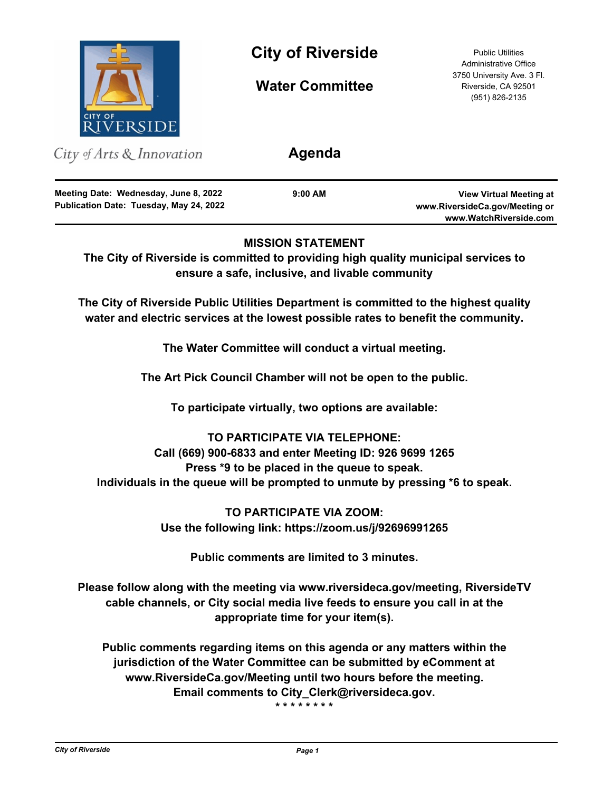

**City of Riverside** Public Utilities

**Water Committee**

Administrative Office 3750 University Ave. 3 Fl. Riverside, CA 92501 (951) 826-2135

| City of Arts $\&$ Innovation                                                     | Agenda    |                                                                                            |
|----------------------------------------------------------------------------------|-----------|--------------------------------------------------------------------------------------------|
| Meeting Date: Wednesday, June 8, 2022<br>Publication Date: Tuesday, May 24, 2022 | $9:00$ AM | <b>View Virtual Meeting at</b><br>www.RiversideCa.gov/Meeting or<br>www.WatchRiverside.com |

# **MISSION STATEMENT**

**The City of Riverside is committed to providing high quality municipal services to ensure a safe, inclusive, and livable community**

**The City of Riverside Public Utilities Department is committed to the highest quality water and electric services at the lowest possible rates to benefit the community.**

**The Water Committee will conduct a virtual meeting.**

**The Art Pick Council Chamber will not be open to the public.**

**To participate virtually, two options are available:**

**TO PARTICIPATE VIA TELEPHONE: Call (669) 900-6833 and enter Meeting ID: 926 9699 1265 Press \*9 to be placed in the queue to speak. Individuals in the queue will be prompted to unmute by pressing \*6 to speak.**

> **TO PARTICIPATE VIA ZOOM: Use the following link: https://zoom.us/j/92696991265**

**Public comments are limited to 3 minutes.**

**Please follow along with the meeting via www.riversideca.gov/meeting, RiversideTV cable channels, or City social media live feeds to ensure you call in at the appropriate time for your item(s).**

**Public comments regarding items on this agenda or any matters within the jurisdiction of the Water Committee can be submitted by eComment at www.RiversideCa.gov/Meeting until two hours before the meeting. Email comments to City\_Clerk@riversideca.gov.**

**\* \* \* \* \* \* \* \***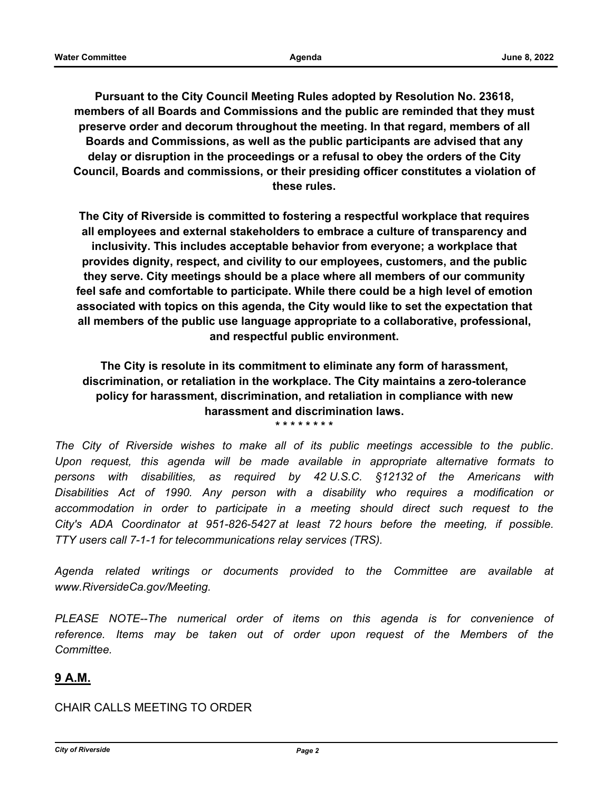**Pursuant to the City Council Meeting Rules adopted by Resolution No. 23618, members of all Boards and Commissions and the public are reminded that they must preserve order and decorum throughout the meeting. In that regard, members of all Boards and Commissions, as well as the public participants are advised that any delay or disruption in the proceedings or a refusal to obey the orders of the City Council, Boards and commissions, or their presiding officer constitutes a violation of these rules.**

**The City of Riverside is committed to fostering a respectful workplace that requires all employees and external stakeholders to embrace a culture of transparency and inclusivity. This includes acceptable behavior from everyone; a workplace that provides dignity, respect, and civility to our employees, customers, and the public they serve. City meetings should be a place where all members of our community feel safe and comfortable to participate. While there could be a high level of emotion associated with topics on this agenda, the City would like to set the expectation that all members of the public use language appropriate to a collaborative, professional, and respectful public environment.**

**The City is resolute in its commitment to eliminate any form of harassment, discrimination, or retaliation in the workplace. The City maintains a zero-tolerance policy for harassment, discrimination, and retaliation in compliance with new harassment and discrimination laws. \* \* \* \* \* \* \* \***

*The City of Riverside wishes to make all of its public meetings accessible to the public. Upon request, this agenda will be made available in appropriate alternative formats to persons with disabilities, as required by 42 U.S.C. §12132 of the Americans with Disabilities Act of 1990. Any person with a disability who requires a modification or*  accommodation in order to participate in a meeting should direct such request to the *City's ADA Coordinator at 951-826-5427 at least 72 hours before the meeting, if possible. TTY users call 7-1-1 for telecommunications relay services (TRS).*

*Agenda related writings or documents provided to the Committee are available at www.RiversideCa.gov/Meeting.*

*PLEASE NOTE--The numerical order of items on this agenda is for convenience of reference. Items may be taken out of order upon request of the Members of the Committee.*

# **9 A.M.**

CHAIR CALLS MEETING TO ORDER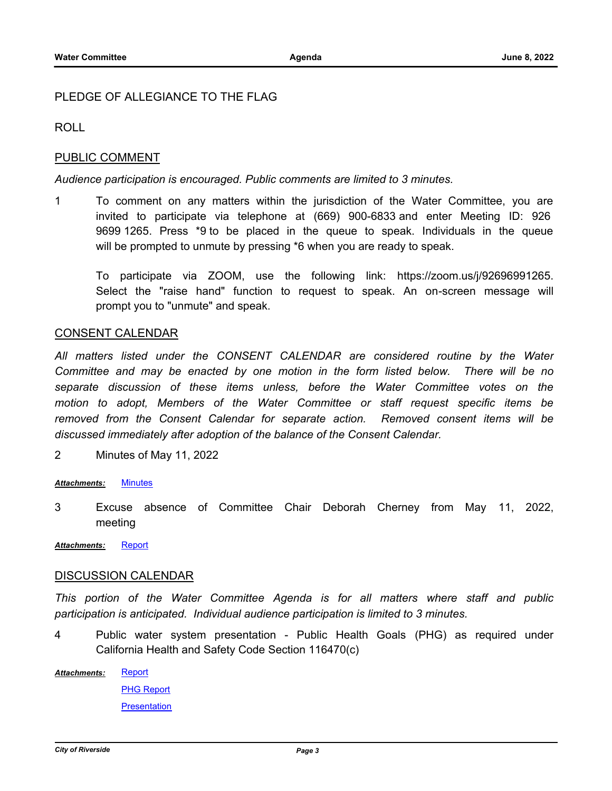## PLEDGE OF ALLEGIANCE TO THE FLAG

ROLL

### PUBLIC COMMENT

#### *Audience participation is encouraged. Public comments are limited to 3 minutes.*

1 To comment on any matters within the jurisdiction of the Water Committee, you are invited to participate via telephone at (669) 900-6833 and enter Meeting ID: 926 9699 1265. Press \*9 to be placed in the queue to speak. Individuals in the queue will be prompted to unmute by pressing \*6 when you are ready to speak.

To participate via ZOOM, use the following link: https://zoom.us/j/92696991265. Select the "raise hand" function to request to speak. An on-screen message will prompt you to "unmute" and speak.

### CONSENT CALENDAR

*All matters listed under the CONSENT CALENDAR are considered routine by the Water Committee and may be enacted by one motion in the form listed below. There will be no separate discussion of these items unless, before the Water Committee votes on the motion to adopt, Members of the Water Committee or staff request specific items be removed from the Consent Calendar for separate action. Removed consent items will be discussed immediately after adoption of the balance of the Consent Calendar.*

2 Minutes of May 11, 2022

#### *Attachments:* [Minutes](http://riversideca.legistar.com/gateway.aspx?M=F&ID=86f2b0c1-7717-4f1d-b8ce-14f2e1d00f2d.pdf)

- 3 Excuse absence of Committee Chair Deborah Cherney from May 11, 2022, meeting
- *Attachments:* [Report](http://riversideca.legistar.com/gateway.aspx?M=F&ID=97dcb586-3716-4b04-bc58-85b83720b70a.docx)

#### DISCUSSION CALENDAR

*This portion of the Water Committee Agenda is for all matters where staff and public participation is anticipated. Individual audience participation is limited to 3 minutes.*

4 Public water system presentation - Public Health Goals (PHG) as required under California Health and Safety Code Section 116470(c)

**[Report](http://riversideca.legistar.com/gateway.aspx?M=F&ID=d06cf25d-13b6-4edc-8e8f-94b9d2ffc0c3.docx)** *Attachments:*

> [PHG Report](http://riversideca.legistar.com/gateway.aspx?M=F&ID=1c983d44-6161-4476-8006-73ab714b3d16.pdf) **[Presentation](http://riversideca.legistar.com/gateway.aspx?M=F&ID=9b029a0c-b244-436c-a397-6bb0dd1fb7e1.pdf)**